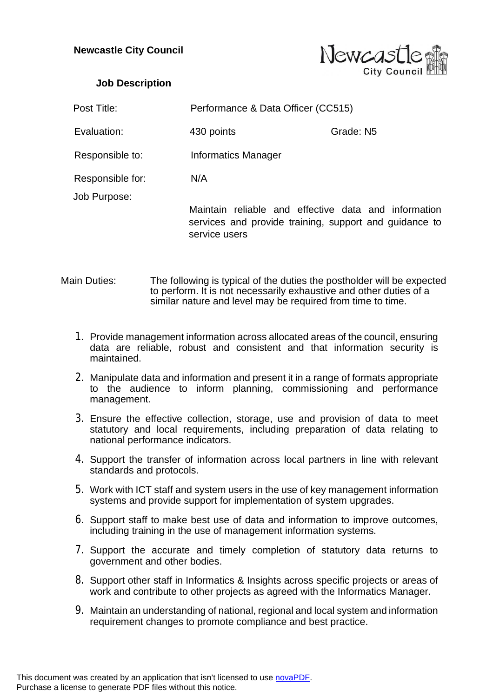

## **Job Description**

| Post Title:                      | Performance & Data Officer (CC515)                                                                                              |           |
|----------------------------------|---------------------------------------------------------------------------------------------------------------------------------|-----------|
| Evaluation:                      | 430 points                                                                                                                      | Grade: N5 |
| Responsible to:                  | Informatics Manager                                                                                                             |           |
| Responsible for:<br>Job Purpose: | N/A                                                                                                                             |           |
|                                  | Maintain reliable and effective data and information<br>services and provide training, support and guidance to<br>service users |           |

- Main Duties: The following is typical of the duties the postholder will be expected to perform. It is not necessarily exhaustive and other duties of a similar nature and level may be required from time to time.
	- 1. Provide management information across allocated areas of the council, ensuring data are reliable, robust and consistent and that information security is maintained.
	- 2. Manipulate data and information and present it in a range of formats appropriate to the audience to inform planning, commissioning and performance management.
	- 3. Ensure the effective collection, storage, use and provision of data to meet statutory and local requirements, including preparation of data relating to national performance indicators.
	- 4. Support the transfer of information across local partners in line with relevant standards and protocols.
	- 5. Work with ICT staff and system users in the use of key management information systems and provide support for implementation of system upgrades.
	- 6. Support staff to make best use of data and information to improve outcomes, including training in the use of management information systems.
	- 7. Support the accurate and timely completion of statutory data returns to government and other bodies.
	- 8. Support other staff in Informatics & Insights across specific projects or areas of work and contribute to other projects as agreed with the Informatics Manager.
	- 9. Maintain an understanding of national, regional and local system and information requirement changes to promote compliance and best practice.